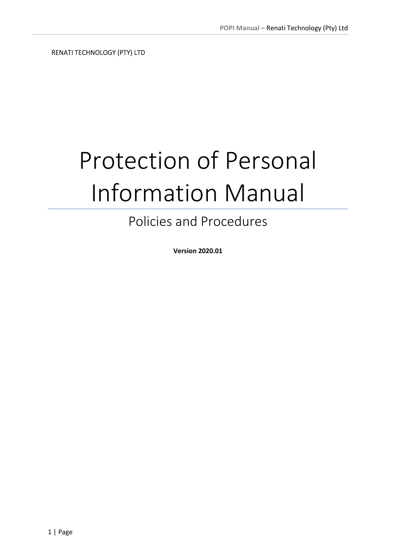RENATI TECHNOLOGY (PTY) LTD

# Protection of Personal Information Manual

# Policies and Procedures

Version 2020.01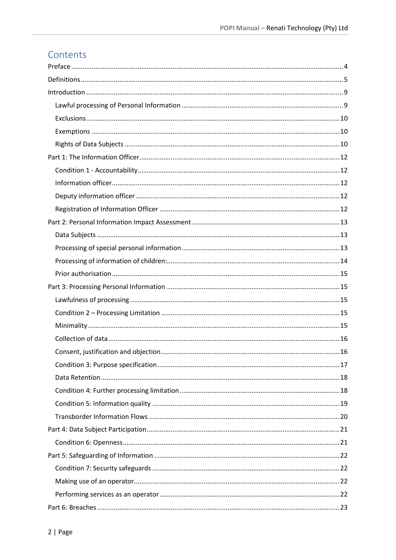# Contents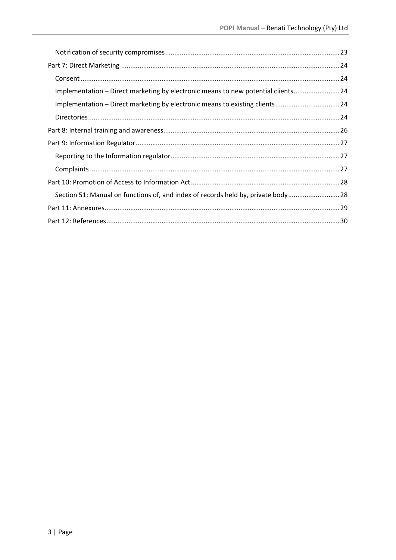| Implementation - Direct marketing by electronic means to new potential clients24 |  |
|----------------------------------------------------------------------------------|--|
| Implementation - Direct marketing by electronic means to existing clients24      |  |
|                                                                                  |  |
|                                                                                  |  |
|                                                                                  |  |
|                                                                                  |  |
|                                                                                  |  |
|                                                                                  |  |
| Section 51: Manual on functions of, and index of records held by, private body28 |  |
|                                                                                  |  |
|                                                                                  |  |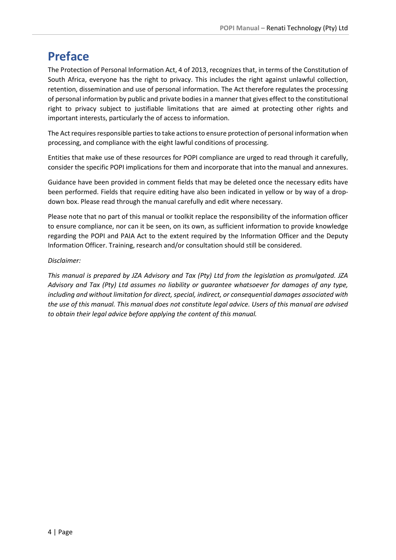# Preface

The Protection of Personal Information Act, 4 of 2013, recognizes that, in terms of the Constitution of South Africa, everyone has the right to privacy. This includes the right against unlawful collection, retention, dissemination and use of personal information. The Act therefore regulates the processing of personal information by public and private bodies in a manner that gives effect to the constitutional right to privacy subject to justifiable limitations that are aimed at protecting other rights and important interests, particularly the of access to information.

The Act requires responsible parties to take actions to ensure protection of personal information when processing, and compliance with the eight lawful conditions of processing.

Entities that make use of these resources for POPI compliance are urged to read through it carefully, consider the specific POPI implications for them and incorporate that into the manual and annexures.

Guidance have been provided in comment fields that may be deleted once the necessary edits have been performed. Fields that require editing have also been indicated in yellow or by way of a dropdown box. Please read through the manual carefully and edit where necessary.

Please note that no part of this manual or toolkit replace the responsibility of the information officer to ensure compliance, nor can it be seen, on its own, as sufficient information to provide knowledge regarding the POPI and PAIA Act to the extent required by the Information Officer and the Deputy Information Officer. Training, research and/or consultation should still be considered.

# Disclaimer:

This manual is prepared by JZA Advisory and Tax (Pty) Ltd from the legislation as promulgated. JZA Advisory and Tax (Pty) Ltd assumes no liability or guarantee whatsoever for damages of any type, including and without limitation for direct, special, indirect, or consequential damages associated with the use of this manual. This manual does not constitute legal advice. Users of this manual are advised to obtain their legal advice before applying the content of this manual.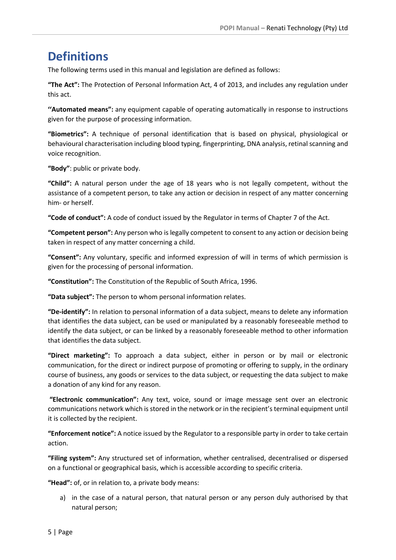# **Definitions**

The following terms used in this manual and legislation are defined as follows:

"The Act": The Protection of Personal Information Act, 4 of 2013, and includes any regulation under this act.

''Automated means": any equipment capable of operating automatically in response to instructions given for the purpose of processing information.

"Biometrics": A technique of personal identification that is based on physical, physiological or behavioural characterisation including blood typing, fingerprinting, DNA analysis, retinal scanning and voice recognition.

"Body": public or private body.

"Child": A natural person under the age of 18 years who is not legally competent, without the assistance of a competent person, to take any action or decision in respect of any matter concerning him- or herself.

"Code of conduct": A code of conduct issued by the Regulator in terms of Chapter 7 of the Act.

"Competent person": Any person who is legally competent to consent to any action or decision being taken in respect of any matter concerning a child.

"Consent": Any voluntary, specific and informed expression of will in terms of which permission is given for the processing of personal information.

"Constitution": The Constitution of the Republic of South Africa, 1996.

"Data subject": The person to whom personal information relates.

"De-identify": In relation to personal information of a data subject, means to delete any information that identifies the data subject, can be used or manipulated by a reasonably foreseeable method to identify the data subject, or can be linked by a reasonably foreseeable method to other information that identifies the data subject.

"Direct marketing": To approach a data subject, either in person or by mail or electronic communication, for the direct or indirect purpose of promoting or offering to supply, in the ordinary course of business, any goods or services to the data subject, or requesting the data subject to make a donation of any kind for any reason.

"Electronic communication": Any text, voice, sound or image message sent over an electronic communications network which is stored in the network or in the recipient's terminal equipment until it is collected by the recipient.

"Enforcement notice": A notice issued by the Regulator to a responsible party in order to take certain action.

"Filing system": Any structured set of information, whether centralised, decentralised or dispersed on a functional or geographical basis, which is accessible according to specific criteria.

"Head": of, or in relation to, a private body means:

a) in the case of a natural person, that natural person or any person duly authorised by that natural person;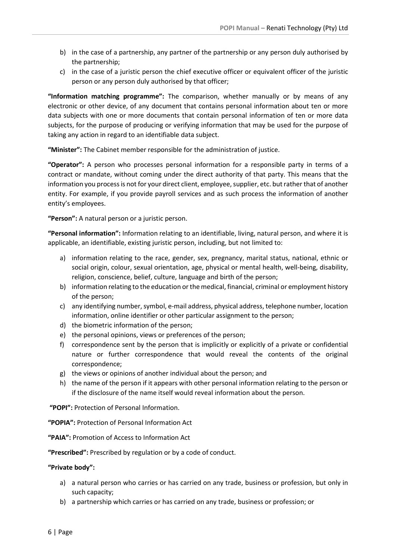- b) in the case of a partnership, any partner of the partnership or any person duly authorised by the partnership;
- c) in the case of a juristic person the chief executive officer or equivalent officer of the juristic person or any person duly authorised by that officer;

"Information matching programme": The comparison, whether manually or by means of any electronic or other device, of any document that contains personal information about ten or more data subjects with one or more documents that contain personal information of ten or more data subjects, for the purpose of producing or verifying information that may be used for the purpose of taking any action in regard to an identifiable data subject.

"Minister": The Cabinet member responsible for the administration of justice.

"Operator": A person who processes personal information for a responsible party in terms of a contract or mandate, without coming under the direct authority of that party. This means that the information you process is not for your direct client, employee, supplier, etc. but rather that of another entity. For example, if you provide payroll services and as such process the information of another entity's employees.

"Person": A natural person or a juristic person.

"Personal information": Information relating to an identifiable, living, natural person, and where it is applicable, an identifiable, existing juristic person, including, but not limited to:

- a) information relating to the race, gender, sex, pregnancy, marital status, national, ethnic or social origin, colour, sexual orientation, age, physical or mental health, well-being, disability, religion, conscience, belief, culture, language and birth of the person;
- b) information relating to the education or the medical, financial, criminal or employment history of the person;
- c) any identifying number, symbol, e-mail address, physical address, telephone number, location information, online identifier or other particular assignment to the person;
- d) the biometric information of the person;
- e) the personal opinions, views or preferences of the person;
- f) correspondence sent by the person that is implicitly or explicitly of a private or confidential nature or further correspondence that would reveal the contents of the original correspondence;
- g) the views or opinions of another individual about the person; and
- h) the name of the person if it appears with other personal information relating to the person or if the disclosure of the name itself would reveal information about the person.

"POPI": Protection of Personal Information.

"POPIA": Protection of Personal Information Act

"PAIA": Promotion of Access to Information Act

"Prescribed": Prescribed by regulation or by a code of conduct.

#### "Private body":

- a) a natural person who carries or has carried on any trade, business or profession, but only in such capacity;
- b) a partnership which carries or has carried on any trade, business or profession; or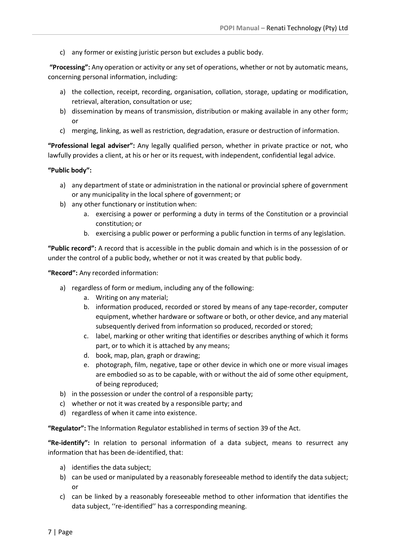c) any former or existing juristic person but excludes a public body.

"Processing": Any operation or activity or any set of operations, whether or not by automatic means, concerning personal information, including:

- a) the collection, receipt, recording, organisation, collation, storage, updating or modification, retrieval, alteration, consultation or use;
- b) dissemination by means of transmission, distribution or making available in any other form; or
- c) merging, linking, as well as restriction, degradation, erasure or destruction of information.

"Professional legal adviser": Any legally qualified person, whether in private practice or not, who lawfully provides a client, at his or her or its request, with independent, confidential legal advice.

#### "Public body":

- a) any department of state or administration in the national or provincial sphere of government or any municipality in the local sphere of government; or
- b) any other functionary or institution when:
	- a. exercising a power or performing a duty in terms of the Constitution or a provincial constitution; or
	- b. exercising a public power or performing a public function in terms of any legislation.

"Public record": A record that is accessible in the public domain and which is in the possession of or under the control of a public body, whether or not it was created by that public body.

"Record": Any recorded information:

- a) regardless of form or medium, including any of the following:
	- a. Writing on any material;
	- b. information produced, recorded or stored by means of any tape-recorder, computer equipment, whether hardware or software or both, or other device, and any material subsequently derived from information so produced, recorded or stored;
	- c. label, marking or other writing that identifies or describes anything of which it forms part, or to which it is attached by any means;
	- d. book, map, plan, graph or drawing;
	- e. photograph, film, negative, tape or other device in which one or more visual images are embodied so as to be capable, with or without the aid of some other equipment, of being reproduced;
- b) in the possession or under the control of a responsible party;
- c) whether or not it was created by a responsible party; and
- d) regardless of when it came into existence.

"Regulator": The Information Regulator established in terms of section 39 of the Act.

"Re-identify": In relation to personal information of a data subject, means to resurrect any information that has been de-identified, that:

- a) identifies the data subject;
- b) can be used or manipulated by a reasonably foreseeable method to identify the data subject; or
- c) can be linked by a reasonably foreseeable method to other information that identifies the data subject, ''re-identified'' has a corresponding meaning.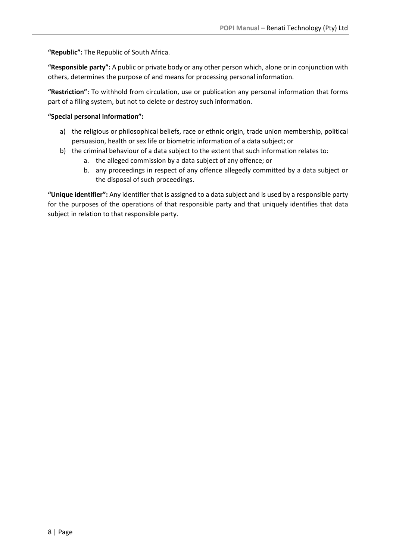"Republic": The Republic of South Africa.

"Responsible party": A public or private body or any other person which, alone or in conjunction with others, determines the purpose of and means for processing personal information.

"Restriction": To withhold from circulation, use or publication any personal information that forms part of a filing system, but not to delete or destroy such information.

#### "Special personal information":

- a) the religious or philosophical beliefs, race or ethnic origin, trade union membership, political persuasion, health or sex life or biometric information of a data subject; or
- b) the criminal behaviour of a data subject to the extent that such information relates to:
	- a. the alleged commission by a data subject of any offence; or
	- b. any proceedings in respect of any offence allegedly committed by a data subject or the disposal of such proceedings.

"Unique identifier": Any identifier that is assigned to a data subject and is used by a responsible party for the purposes of the operations of that responsible party and that uniquely identifies that data subject in relation to that responsible party.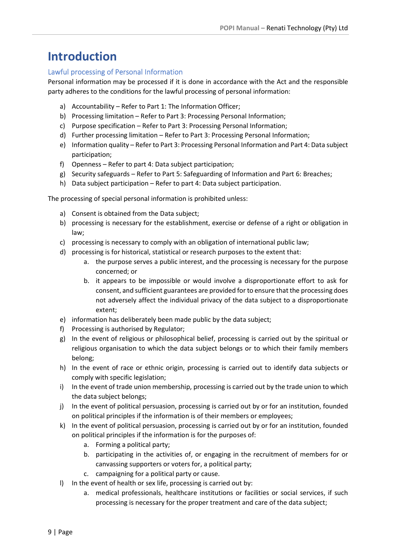# Introduction

# Lawful processing of Personal Information

Personal information may be processed if it is done in accordance with the Act and the responsible party adheres to the conditions for the lawful processing of personal information:

- a) Accountability Refer to Part 1: The Information Officer;
- b) Processing limitation Refer to Part 3: Processing Personal Information;
- c) Purpose specification Refer to Part 3: Processing Personal Information;
- d) Further processing limitation Refer to Part 3: Processing Personal Information;
- e) Information quality Refer to Part 3: Processing Personal Information and Part 4: Data subject participation;
- f) Openness Refer to part 4: Data subject participation;
- g) Security safeguards Refer to Part 5: Safeguarding of Information and Part 6: Breaches;
- h) Data subject participation Refer to part 4: Data subject participation.

The processing of special personal information is prohibited unless:

- a) Consent is obtained from the Data subject;
- b) processing is necessary for the establishment, exercise or defense of a right or obligation in law;
- c) processing is necessary to comply with an obligation of international public law;
- d) processing is for historical, statistical or research purposes to the extent that:
	- a. the purpose serves a public interest, and the processing is necessary for the purpose concerned; or
	- b. it appears to be impossible or would involve a disproportionate effort to ask for consent, and sufficient guarantees are provided for to ensure that the processing does not adversely affect the individual privacy of the data subject to a disproportionate extent;
- e) information has deliberately been made public by the data subject;
- f) Processing is authorised by Regulator;
- g) In the event of religious or philosophical belief, processing is carried out by the spiritual or religious organisation to which the data subject belongs or to which their family members belong;
- h) In the event of race or ethnic origin, processing is carried out to identify data subjects or comply with specific legislation;
- i) In the event of trade union membership, processing is carried out by the trade union to which the data subject belongs;
- j) In the event of political persuasion, processing is carried out by or for an institution, founded on political principles if the information is of their members or employees;
- k) In the event of political persuasion, processing is carried out by or for an institution, founded on political principles if the information is for the purposes of:
	- a. Forming a political party;
	- b. participating in the activities of, or engaging in the recruitment of members for or canvassing supporters or voters for, a political party;
	- c. campaigning for a political party or cause.
- l) In the event of health or sex life, processing is carried out by:
	- a. medical professionals, healthcare institutions or facilities or social services, if such processing is necessary for the proper treatment and care of the data subject;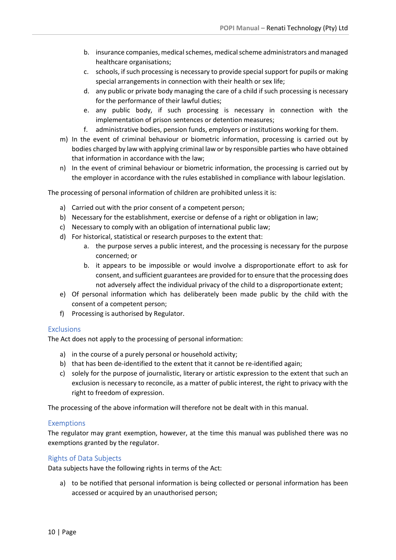- b. insurance companies, medical schemes, medical scheme administrators and managed healthcare organisations;
- c. schools, if such processing is necessary to provide special support for pupils or making special arrangements in connection with their health or sex life;
- d. any public or private body managing the care of a child if such processing is necessary for the performance of their lawful duties;
- e. any public body, if such processing is necessary in connection with the implementation of prison sentences or detention measures;
- f. administrative bodies, pension funds, employers or institutions working for them.
- m) In the event of criminal behaviour or biometric information, processing is carried out by bodies charged by law with applying criminal law or by responsible parties who have obtained that information in accordance with the law;
- n) In the event of criminal behaviour or biometric information, the processing is carried out by the employer in accordance with the rules established in compliance with labour legislation.

The processing of personal information of children are prohibited unless it is:

- a) Carried out with the prior consent of a competent person;
- b) Necessary for the establishment, exercise or defense of a right or obligation in law;
- c) Necessary to comply with an obligation of international public law;
- d) For historical, statistical or research purposes to the extent that:
	- a. the purpose serves a public interest, and the processing is necessary for the purpose concerned; or
	- b. it appears to be impossible or would involve a disproportionate effort to ask for consent, and sufficient guarantees are provided for to ensure that the processing does not adversely affect the individual privacy of the child to a disproportionate extent;
- e) Of personal information which has deliberately been made public by the child with the consent of a competent person;
- f) Processing is authorised by Regulator.

### **Exclusions**

The Act does not apply to the processing of personal information:

- a) in the course of a purely personal or household activity;
- b) that has been de-identified to the extent that it cannot be re-identified again;
- c) solely for the purpose of journalistic, literary or artistic expression to the extent that such an exclusion is necessary to reconcile, as a matter of public interest, the right to privacy with the right to freedom of expression.

The processing of the above information will therefore not be dealt with in this manual.

### **Exemptions**

The regulator may grant exemption, however, at the time this manual was published there was no exemptions granted by the regulator.

### Rights of Data Subjects

Data subjects have the following rights in terms of the Act:

a) to be notified that personal information is being collected or personal information has been accessed or acquired by an unauthorised person;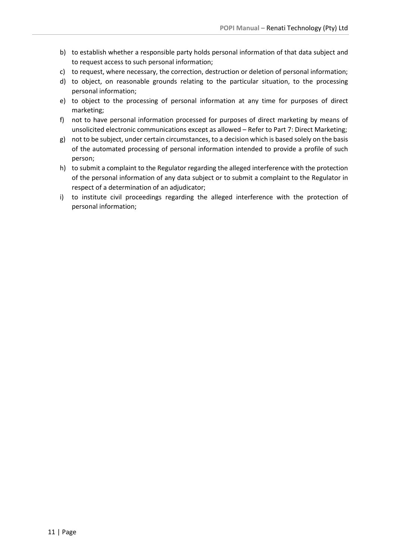- b) to establish whether a responsible party holds personal information of that data subject and to request access to such personal information;
- c) to request, where necessary, the correction, destruction or deletion of personal information;
- d) to object, on reasonable grounds relating to the particular situation, to the processing personal information;
- e) to object to the processing of personal information at any time for purposes of direct marketing;
- f) not to have personal information processed for purposes of direct marketing by means of unsolicited electronic communications except as allowed – Refer to Part 7: Direct Marketing;
- g) not to be subject, under certain circumstances, to a decision which is based solely on the basis of the automated processing of personal information intended to provide a profile of such person;
- h) to submit a complaint to the Regulator regarding the alleged interference with the protection of the personal information of any data subject or to submit a complaint to the Regulator in respect of a determination of an adjudicator;
- i) to institute civil proceedings regarding the alleged interference with the protection of personal information;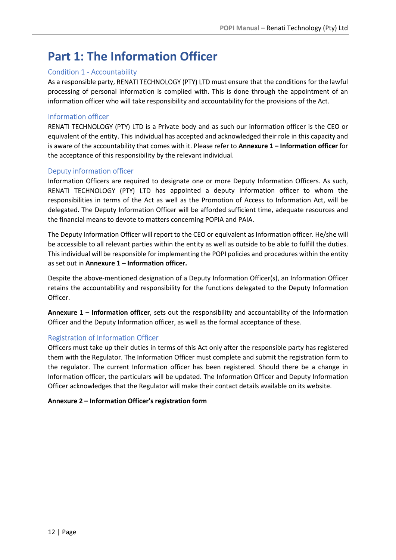# Part 1: The Information Officer

# Condition 1 - Accountability

As a responsible party, RENATI TECHNOLOGY (PTY) LTD must ensure that the conditions for the lawful processing of personal information is complied with. This is done through the appointment of an information officer who will take responsibility and accountability for the provisions of the Act.

### Information officer

RENATI TECHNOLOGY (PTY) LTD is a Private body and as such our information officer is the CEO or equivalent of the entity. This individual has accepted and acknowledged their role in this capacity and is aware of the accountability that comes with it. Please refer to Annexure 1 – Information officer for the acceptance of this responsibility by the relevant individual.

# Deputy information officer

Information Officers are required to designate one or more Deputy Information Officers. As such, RENATI TECHNOLOGY (PTY) LTD has appointed a deputy information officer to whom the responsibilities in terms of the Act as well as the Promotion of Access to Information Act, will be delegated. The Deputy Information Officer will be afforded sufficient time, adequate resources and the financial means to devote to matters concerning POPIA and PAIA.

The Deputy Information Officer will report to the CEO or equivalent as Information officer. He/she will be accessible to all relevant parties within the entity as well as outside to be able to fulfill the duties. This individual will be responsible for implementing the POPI policies and procedures within the entity as set out in Annexure 1 – Information officer.

Despite the above-mentioned designation of a Deputy Information Officer(s), an Information Officer retains the accountability and responsibility for the functions delegated to the Deputy Information Officer.

Annexure 1 – Information officer, sets out the responsibility and accountability of the Information Officer and the Deputy Information officer, as well as the formal acceptance of these.

# Registration of Information Officer

Officers must take up their duties in terms of this Act only after the responsible party has registered them with the Regulator. The Information Officer must complete and submit the registration form to the regulator. The current Information officer has been registered. Should there be a change in Information officer, the particulars will be updated. The Information Officer and Deputy Information Officer acknowledges that the Regulator will make their contact details available on its website.

### Annexure 2 – Information Officer's registration form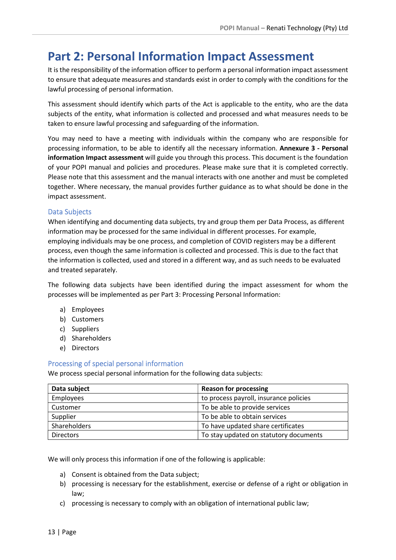# Part 2: Personal Information Impact Assessment

It is the responsibility of the information officer to perform a personal information impact assessment to ensure that adequate measures and standards exist in order to comply with the conditions for the lawful processing of personal information.

This assessment should identify which parts of the Act is applicable to the entity, who are the data subjects of the entity, what information is collected and processed and what measures needs to be taken to ensure lawful processing and safeguarding of the information.

You may need to have a meeting with individuals within the company who are responsible for processing information, to be able to identify all the necessary information. Annexure 3 - Personal information Impact assessment will guide you through this process. This document is the foundation of your POPI manual and policies and procedures. Please make sure that it is completed correctly. Please note that this assessment and the manual interacts with one another and must be completed together. Where necessary, the manual provides further guidance as to what should be done in the impact assessment.

# Data Subjects

When identifying and documenting data subjects, try and group them per Data Process, as different information may be processed for the same individual in different processes. For example, employing individuals may be one process, and completion of COVID registers may be a different process, even though the same information is collected and processed. This is due to the fact that the information is collected, used and stored in a different way, and as such needs to be evaluated and treated separately.

The following data subjects have been identified during the impact assessment for whom the processes will be implemented as per Part 3: Processing Personal Information:

- a) Employees
- b) Customers
- c) Suppliers
- d) Shareholders
- e) Directors

### Processing of special personal information

We process special personal information for the following data subjects:

| Data subject     | <b>Reason for processing</b>           |
|------------------|----------------------------------------|
| Employees        | to process payroll, insurance policies |
| Customer         | To be able to provide services         |
| Supplier         | To be able to obtain services          |
| Shareholders     | To have updated share certificates     |
| <b>Directors</b> | To stay updated on statutory documents |

We will only process this information if one of the following is applicable:

- a) Consent is obtained from the Data subject;
- b) processing is necessary for the establishment, exercise or defense of a right or obligation in law;
- c) processing is necessary to comply with an obligation of international public law;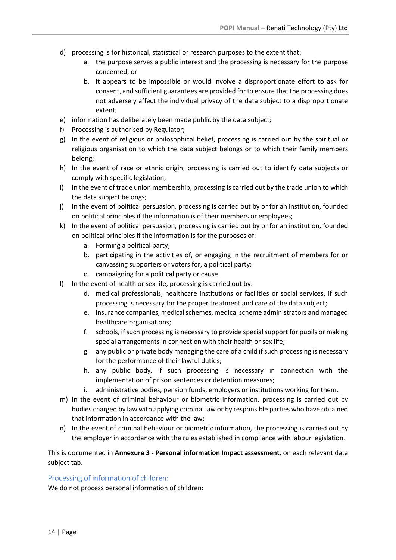- d) processing is for historical, statistical or research purposes to the extent that:
	- a. the purpose serves a public interest and the processing is necessary for the purpose concerned; or
	- b. it appears to be impossible or would involve a disproportionate effort to ask for consent, and sufficient guarantees are provided for to ensure that the processing does not adversely affect the individual privacy of the data subject to a disproportionate extent;
- e) information has deliberately been made public by the data subject;
- f) Processing is authorised by Regulator;
- g) In the event of religious or philosophical belief, processing is carried out by the spiritual or religious organisation to which the data subject belongs or to which their family members belong;
- h) In the event of race or ethnic origin, processing is carried out to identify data subjects or comply with specific legislation;
- i) In the event of trade union membership, processing is carried out by the trade union to which the data subject belongs;
- j) In the event of political persuasion, processing is carried out by or for an institution, founded on political principles if the information is of their members or employees;
- k) In the event of political persuasion, processing is carried out by or for an institution, founded on political principles if the information is for the purposes of:
	- a. Forming a political party;
	- b. participating in the activities of, or engaging in the recruitment of members for or canvassing supporters or voters for, a political party;
	- c. campaigning for a political party or cause.
- l) In the event of health or sex life, processing is carried out by:
	- d. medical professionals, healthcare institutions or facilities or social services, if such processing is necessary for the proper treatment and care of the data subject;
	- e. insurance companies, medical schemes, medical scheme administrators and managed healthcare organisations;
	- f. schools, if such processing is necessary to provide special support for pupils or making special arrangements in connection with their health or sex life;
	- g. any public or private body managing the care of a child if such processing is necessary for the performance of their lawful duties;
	- h. any public body, if such processing is necessary in connection with the implementation of prison sentences or detention measures;
	- i. administrative bodies, pension funds, employers or institutions working for them.
- m) In the event of criminal behaviour or biometric information, processing is carried out by bodies charged by law with applying criminal law or by responsible parties who have obtained that information in accordance with the law;
- n) In the event of criminal behaviour or biometric information, the processing is carried out by the employer in accordance with the rules established in compliance with labour legislation.

This is documented in Annexure 3 - Personal information Impact assessment, on each relevant data subject tab.

### Processing of information of children:

We do not process personal information of children: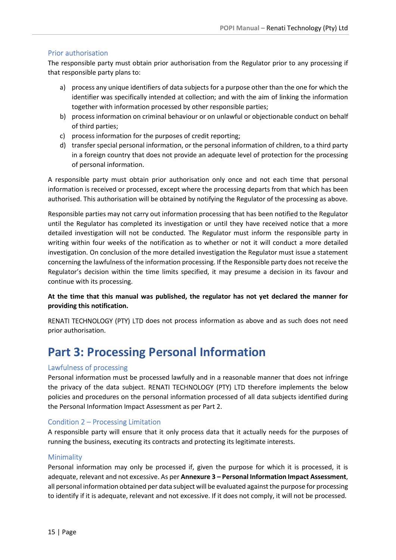# Prior authorisation

The responsible party must obtain prior authorisation from the Regulator prior to any processing if that responsible party plans to:

- a) process any unique identifiers of data subjects for a purpose other than the one for which the identifier was specifically intended at collection; and with the aim of linking the information together with information processed by other responsible parties;
- b) process information on criminal behaviour or on unlawful or objectionable conduct on behalf of third parties;
- c) process information for the purposes of credit reporting;
- d) transfer special personal information, or the personal information of children, to a third party in a foreign country that does not provide an adequate level of protection for the processing of personal information.

A responsible party must obtain prior authorisation only once and not each time that personal information is received or processed, except where the processing departs from that which has been authorised. This authorisation will be obtained by notifying the Regulator of the processing as above.

Responsible parties may not carry out information processing that has been notified to the Regulator until the Regulator has completed its investigation or until they have received notice that a more detailed investigation will not be conducted. The Regulator must inform the responsible party in writing within four weeks of the notification as to whether or not it will conduct a more detailed investigation. On conclusion of the more detailed investigation the Regulator must issue a statement concerning the lawfulness of the information processing. If the Responsible party does not receive the Regulator's decision within the time limits specified, it may presume a decision in its favour and continue with its processing.

At the time that this manual was published, the regulator has not yet declared the manner for providing this notification.

RENATI TECHNOLOGY (PTY) LTD does not process information as above and as such does not need prior authorisation.

# Part 3: Processing Personal Information

### Lawfulness of processing

Personal information must be processed lawfully and in a reasonable manner that does not infringe the privacy of the data subject. RENATI TECHNOLOGY (PTY) LTD therefore implements the below policies and procedures on the personal information processed of all data subjects identified during the Personal Information Impact Assessment as per Part 2.

### Condition 2 – Processing Limitation

A responsible party will ensure that it only process data that it actually needs for the purposes of running the business, executing its contracts and protecting its legitimate interests.

### **Minimality**

Personal information may only be processed if, given the purpose for which it is processed, it is adequate, relevant and not excessive. As per Annexure 3 – Personal Information Impact Assessment, all personal information obtained per data subject will be evaluated against the purpose for processing to identify if it is adequate, relevant and not excessive. If it does not comply, it will not be processed.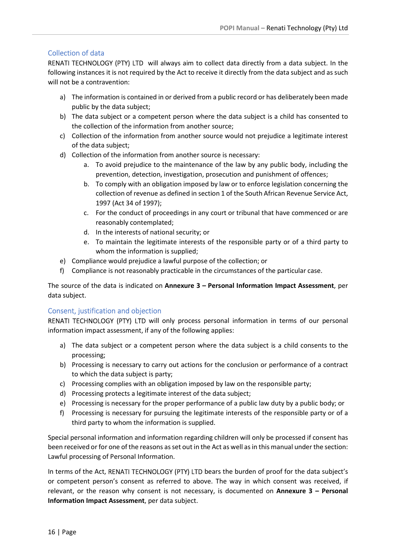# Collection of data

RENATI TECHNOLOGY (PTY) LTD will always aim to collect data directly from a data subject. In the following instances it is not required by the Act to receive it directly from the data subject and as such will not be a contravention:

- a) The information is contained in or derived from a public record or has deliberately been made public by the data subject;
- b) The data subject or a competent person where the data subject is a child has consented to the collection of the information from another source;
- c) Collection of the information from another source would not prejudice a legitimate interest of the data subject;
- d) Collection of the information from another source is necessary:
	- a. To avoid prejudice to the maintenance of the law by any public body, including the prevention, detection, investigation, prosecution and punishment of offences;
	- b. To comply with an obligation imposed by law or to enforce legislation concerning the collection of revenue as defined in section 1 of the South African Revenue Service Act, 1997 (Act 34 of 1997);
	- c. For the conduct of proceedings in any court or tribunal that have commenced or are reasonably contemplated;
	- d. In the interests of national security; or
	- e. To maintain the legitimate interests of the responsible party or of a third party to whom the information is supplied;
- e) Compliance would prejudice a lawful purpose of the collection; or
- f) Compliance is not reasonably practicable in the circumstances of the particular case.

The source of the data is indicated on Annexure 3 – Personal Information Impact Assessment, per data subject.

# Consent, justification and objection

RENATI TECHNOLOGY (PTY) LTD will only process personal information in terms of our personal information impact assessment, if any of the following applies:

- a) The data subject or a competent person where the data subject is a child consents to the processing;
- b) Processing is necessary to carry out actions for the conclusion or performance of a contract to which the data subject is party;
- c) Processing complies with an obligation imposed by law on the responsible party;
- d) Processing protects a legitimate interest of the data subject;
- e) Processing is necessary for the proper performance of a public law duty by a public body; or
- f) Processing is necessary for pursuing the legitimate interests of the responsible party or of a third party to whom the information is supplied.

Special personal information and information regarding children will only be processed if consent has been received or for one of the reasons as set out in the Act as well as in this manual under the section: Lawful processing of Personal Information.

In terms of the Act, RENATI TECHNOLOGY (PTY) LTD bears the burden of proof for the data subject's or competent person's consent as referred to above. The way in which consent was received, if relevant, or the reason why consent is not necessary, is documented on Annexure  $3 -$  Personal Information Impact Assessment, per data subject.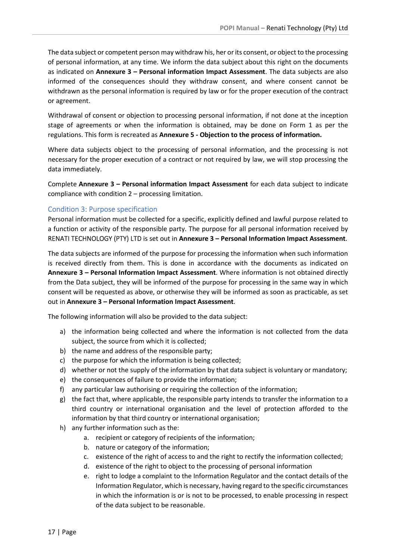The data subject or competent person may withdraw his, her or its consent, or object to the processing of personal information, at any time. We inform the data subject about this right on the documents as indicated on Annexure 3 – Personal information Impact Assessment. The data subjects are also informed of the consequences should they withdraw consent, and where consent cannot be withdrawn as the personal information is required by law or for the proper execution of the contract or agreement.

Withdrawal of consent or objection to processing personal information, if not done at the inception stage of agreements or when the information is obtained, may be done on Form 1 as per the regulations. This form is recreated as Annexure 5 - Objection to the process of information.

Where data subjects object to the processing of personal information, and the processing is not necessary for the proper execution of a contract or not required by law, we will stop processing the data immediately.

Complete Annexure 3 – Personal information Impact Assessment for each data subject to indicate compliance with condition 2 – processing limitation.

#### Condition 3: Purpose specification

Personal information must be collected for a specific, explicitly defined and lawful purpose related to a function or activity of the responsible party. The purpose for all personal information received by RENATI TECHNOLOGY (PTY) LTD is set out in Annexure 3 – Personal Information Impact Assessment.

The data subjects are informed of the purpose for processing the information when such information is received directly from them. This is done in accordance with the documents as indicated on Annexure 3 – Personal Information Impact Assessment. Where information is not obtained directly from the Data subject, they will be informed of the purpose for processing in the same way in which consent will be requested as above, or otherwise they will be informed as soon as practicable, as set out in Annexure 3 – Personal Information Impact Assessment.

The following information will also be provided to the data subject:

- a) the information being collected and where the information is not collected from the data subject, the source from which it is collected;
- b) the name and address of the responsible party;
- c) the purpose for which the information is being collected;
- d) whether or not the supply of the information by that data subject is voluntary or mandatory;
- e) the consequences of failure to provide the information;
- f) any particular law authorising or requiring the collection of the information;
- g) the fact that, where applicable, the responsible party intends to transfer the information to a third country or international organisation and the level of protection afforded to the information by that third country or international organisation;
- h) any further information such as the:
	- a. recipient or category of recipients of the information;
	- b. nature or category of the information;
	- c. existence of the right of access to and the right to rectify the information collected;
	- d. existence of the right to object to the processing of personal information
	- e. right to lodge a complaint to the Information Regulator and the contact details of the Information Regulator, which is necessary, having regard to the specific circumstances in which the information is or is not to be processed, to enable processing in respect of the data subject to be reasonable.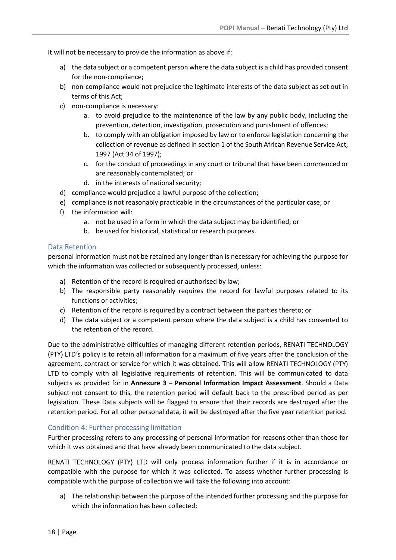It will not be necessary to provide the information as above if:

- a) the data subject or a competent person where the data subject is a child has provided consent for the non-compliance;
- b) non-compliance would not prejudice the legitimate interests of the data subject as set out in terms of this Act;
- c) non-compliance is necessary:
	- a. to avoid prejudice to the maintenance of the law by any public body, including the prevention, detection, investigation, prosecution and punishment of offences;
	- b. to comply with an obligation imposed by law or to enforce legislation concerning the collection of revenue as defined in section 1 of the South African Revenue Service Act, 1997 (Act 34 of 1997);
	- c. for the conduct of proceedings in any court or tribunal that have been commenced or are reasonably contemplated; or
	- d. in the interests of national security;
- d) compliance would prejudice a lawful purpose of the collection;
- e) compliance is not reasonably practicable in the circumstances of the particular case; or
- f) the information will:
	- a. not be used in a form in which the data subject may be identified; or
	- b. be used for historical, statistical or research purposes.

#### Data Retention

personal information must not be retained any longer than is necessary for achieving the purpose for which the information was collected or subsequently processed, unless:

- a) Retention of the record is required or authorised by law;
- b) The responsible party reasonably requires the record for lawful purposes related to its functions or activities;
- c) Retention of the record is required by a contract between the parties thereto; or
- d) The data subject or a competent person where the data subject is a child has consented to the retention of the record.

Due to the administrative difficulties of managing different retention periods, RENATI TECHNOLOGY (PTY) LTD's policy is to retain all information for a maximum of five years after the conclusion of the agreement, contract or service for which it was obtained. This will allow RENATI TECHNOLOGY (PTY) LTD to comply with all legislative requirements of retention. This will be communicated to data subjects as provided for in Annexure 3 - Personal Information Impact Assessment. Should a Data subject not consent to this, the retention period will default back to the prescribed period as per legislation. These Data subjects will be flagged to ensure that their records are destroyed after the retention period. For all other personal data, it will be destroyed after the five year retention period.

### Condition 4: Further processing limitation

Further processing refers to any processing of personal information for reasons other than those for which it was obtained and that have already been communicated to the data subject.

RENATI TECHNOLOGY (PTY) LTD will only process information further if it is in accordance or compatible with the purpose for which it was collected. To assess whether further processing is compatible with the purpose of collection we will take the following into account:

a) The relationship between the purpose of the intended further processing and the purpose for which the information has been collected;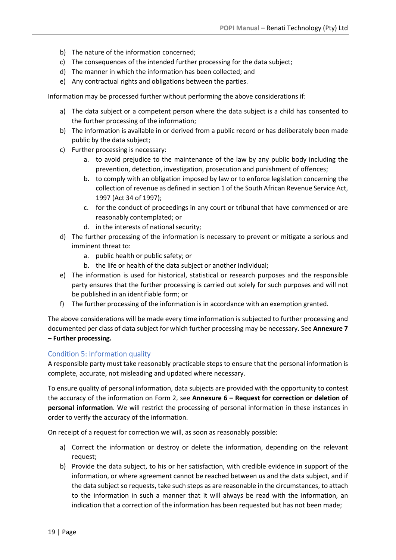- b) The nature of the information concerned;
- c) The consequences of the intended further processing for the data subject;
- d) The manner in which the information has been collected; and
- e) Any contractual rights and obligations between the parties.

Information may be processed further without performing the above considerations if:

- a) The data subject or a competent person where the data subject is a child has consented to the further processing of the information;
- b) The information is available in or derived from a public record or has deliberately been made public by the data subject;
- c) Further processing is necessary:
	- a. to avoid prejudice to the maintenance of the law by any public body including the prevention, detection, investigation, prosecution and punishment of offences;
	- b. to comply with an obligation imposed by law or to enforce legislation concerning the collection of revenue as defined in section 1 of the South African Revenue Service Act, 1997 (Act 34 of 1997);
	- c. for the conduct of proceedings in any court or tribunal that have commenced or are reasonably contemplated; or
	- d. in the interests of national security;
- d) The further processing of the information is necessary to prevent or mitigate a serious and imminent threat to:
	- a. public health or public safety; or
	- b. the life or health of the data subject or another individual;
- e) The information is used for historical, statistical or research purposes and the responsible party ensures that the further processing is carried out solely for such purposes and will not be published in an identifiable form; or
- f) The further processing of the information is in accordance with an exemption granted.

The above considerations will be made every time information is subjected to further processing and documented per class of data subject for which further processing may be necessary. See Annexure 7 – Further processing.

### Condition 5: Information quality

A responsible party must take reasonably practicable steps to ensure that the personal information is complete, accurate, not misleading and updated where necessary.

To ensure quality of personal information, data subjects are provided with the opportunity to contest the accuracy of the information on Form 2, see Annexure 6 – Request for correction or deletion of personal information. We will restrict the processing of personal information in these instances in order to verify the accuracy of the information.

On receipt of a request for correction we will, as soon as reasonably possible:

- a) Correct the information or destroy or delete the information, depending on the relevant request;
- b) Provide the data subject, to his or her satisfaction, with credible evidence in support of the information, or where agreement cannot be reached between us and the data subject, and if the data subject so requests, take such steps as are reasonable in the circumstances, to attach to the information in such a manner that it will always be read with the information, an indication that a correction of the information has been requested but has not been made;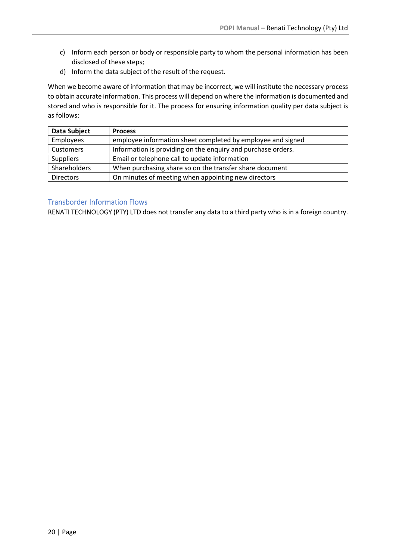- c) Inform each person or body or responsible party to whom the personal information has been disclosed of these steps;
- d) Inform the data subject of the result of the request.

When we become aware of information that may be incorrect, we will institute the necessary process to obtain accurate information. This process will depend on where the information is documented and stored and who is responsible for it. The process for ensuring information quality per data subject is as follows:

| Data Subject     | <b>Process</b>                                               |
|------------------|--------------------------------------------------------------|
| Employees        | employee information sheet completed by employee and signed  |
| Customers        | Information is providing on the enquiry and purchase orders. |
| Suppliers        | Email or telephone call to update information                |
| Shareholders     | When purchasing share so on the transfer share document      |
| <b>Directors</b> | On minutes of meeting when appointing new directors          |

# Transborder Information Flows

RENATI TECHNOLOGY (PTY) LTD does not transfer any data to a third party who is in a foreign country.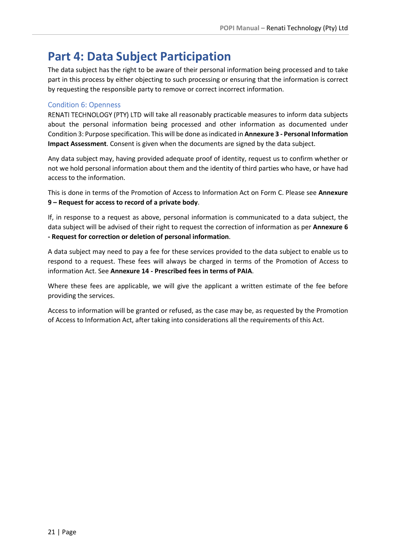# Part 4: Data Subject Participation

The data subject has the right to be aware of their personal information being processed and to take part in this process by either objecting to such processing or ensuring that the information is correct by requesting the responsible party to remove or correct incorrect information.

# Condition 6: Openness

RENATI TECHNOLOGY (PTY) LTD will take all reasonably practicable measures to inform data subjects about the personal information being processed and other information as documented under Condition 3: Purpose specification. This will be done as indicated in Annexure 3 - Personal Information Impact Assessment. Consent is given when the documents are signed by the data subject.

Any data subject may, having provided adequate proof of identity, request us to confirm whether or not we hold personal information about them and the identity of third parties who have, or have had access to the information.

This is done in terms of the Promotion of Access to Information Act on Form C. Please see Annexure 9 – Request for access to record of a private body.

If, in response to a request as above, personal information is communicated to a data subject, the data subject will be advised of their right to request the correction of information as per Annexure 6 - Request for correction or deletion of personal information.

A data subject may need to pay a fee for these services provided to the data subject to enable us to respond to a request. These fees will always be charged in terms of the Promotion of Access to information Act. See Annexure 14 - Prescribed fees in terms of PAIA.

Where these fees are applicable, we will give the applicant a written estimate of the fee before providing the services.

Access to information will be granted or refused, as the case may be, as requested by the Promotion of Access to Information Act, after taking into considerations all the requirements of this Act.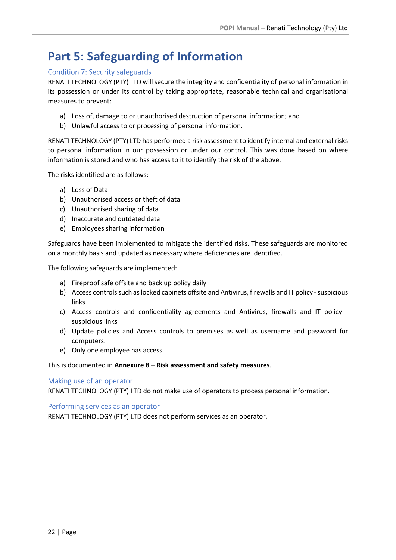# Part 5: Safeguarding of Information

# Condition 7: Security safeguards

RENATI TECHNOLOGY (PTY) LTD will secure the integrity and confidentiality of personal information in its possession or under its control by taking appropriate, reasonable technical and organisational measures to prevent:

- a) Loss of, damage to or unauthorised destruction of personal information; and
- b) Unlawful access to or processing of personal information.

RENATI TECHNOLOGY (PTY) LTD has performed a risk assessment to identify internal and external risks to personal information in our possession or under our control. This was done based on where information is stored and who has access to it to identify the risk of the above.

The risks identified are as follows:

- a) Loss of Data
- b) Unauthorised access or theft of data
- c) Unauthorised sharing of data
- d) Inaccurate and outdated data
- e) Employees sharing information

Safeguards have been implemented to mitigate the identified risks. These safeguards are monitored on a monthly basis and updated as necessary where deficiencies are identified.

The following safeguards are implemented:

- a) Fireproof safe offsite and back up policy daily
- b) Access controls such as locked cabinets offsite and Antivirus, firewalls and IT policy suspicious links
- c) Access controls and confidentiality agreements and Antivirus, firewalls and IT policy suspicious links
- d) Update policies and Access controls to premises as well as username and password for computers.
- e) Only one employee has access

This is documented in Annexure 8 – Risk assessment and safety measures.

### Making use of an operator

RENATI TECHNOLOGY (PTY) LTD do not make use of operators to process personal information.

Performing services as an operator

RENATI TECHNOLOGY (PTY) LTD does not perform services as an operator.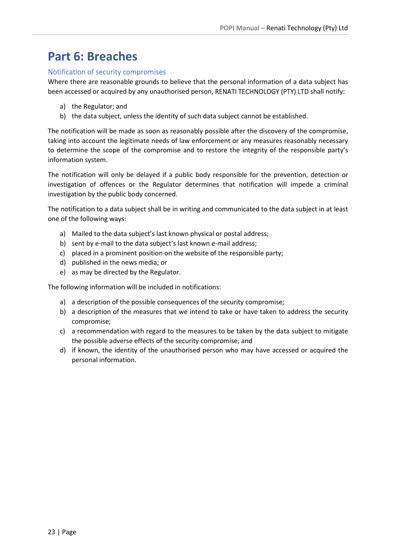# Part 6: Breaches

### Notification of security compromises

Where there are reasonable grounds to believe that the personal information of a data subject has been accessed or acquired by any unauthorised person, RENATI TECHNOLOGY (PTY) LTD shall notify:

- a) the Regulator; and
- b) the data subject, unless the identity of such data subject cannot be established.

The notification will be made as soon as reasonably possible after the discovery of the compromise, taking into account the legitimate needs of law enforcement or any measures reasonably necessary to determine the scope of the compromise and to restore the integrity of the responsible party's information system.

The notification will only be delayed if a public body responsible for the prevention, detection or investigation of offences or the Regulator determines that notification will impede a criminal investigation by the public body concerned.

The notification to a data subject shall be in writing and communicated to the data subject in at least one of the following ways:

- a) Mailed to the data subject's last known physical or postal address;
- b) sent by e-mail to the data subject's last known e-mail address;
- c) placed in a prominent position on the website of the responsible party;
- d) published in the news media; or
- e) as may be directed by the Regulator.

The following information will be included in notifications:

- a) a description of the possible consequences of the security compromise;
- b) a description of the measures that we intend to take or have taken to address the security compromise;
- c) a recommendation with regard to the measures to be taken by the data subject to mitigate the possible adverse effects of the security compromise; and
- d) if known, the identity of the unauthorised person who may have accessed or acquired the personal information.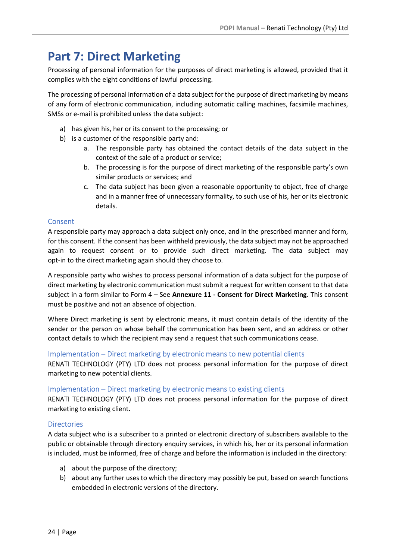# Part 7: Direct Marketing

Processing of personal information for the purposes of direct marketing is allowed, provided that it complies with the eight conditions of lawful processing.

The processing of personal information of a data subject for the purpose of direct marketing by means of any form of electronic communication, including automatic calling machines, facsimile machines, SMSs or e-mail is prohibited unless the data subject:

- a) has given his, her or its consent to the processing; or
- b) is a customer of the responsible party and:
	- a. The responsible party has obtained the contact details of the data subject in the context of the sale of a product or service;
	- b. The processing is for the purpose of direct marketing of the responsible party's own similar products or services; and
	- c. The data subject has been given a reasonable opportunity to object, free of charge and in a manner free of unnecessary formality, to such use of his, her or its electronic details.

# **Consent**

A responsible party may approach a data subject only once, and in the prescribed manner and form, for this consent. If the consent has been withheld previously, the data subject may not be approached again to request consent or to provide such direct marketing. The data subject may opt-in to the direct marketing again should they choose to.

A responsible party who wishes to process personal information of a data subject for the purpose of direct marketing by electronic communication must submit a request for written consent to that data subject in a form similar to Form 4 - See Annexure 11 - Consent for Direct Marketing. This consent must be positive and not an absence of objection.

Where Direct marketing is sent by electronic means, it must contain details of the identity of the sender or the person on whose behalf the communication has been sent, and an address or other contact details to which the recipient may send a request that such communications cease.

### Implementation – Direct marketing by electronic means to new potential clients

RENATI TECHNOLOGY (PTY) LTD does not process personal information for the purpose of direct marketing to new potential clients.

### Implementation – Direct marketing by electronic means to existing clients

RENATI TECHNOLOGY (PTY) LTD does not process personal information for the purpose of direct marketing to existing client.

### **Directories**

A data subject who is a subscriber to a printed or electronic directory of subscribers available to the public or obtainable through directory enquiry services, in which his, her or its personal information is included, must be informed, free of charge and before the information is included in the directory:

- a) about the purpose of the directory;
- b) about any further uses to which the directory may possibly be put, based on search functions embedded in electronic versions of the directory.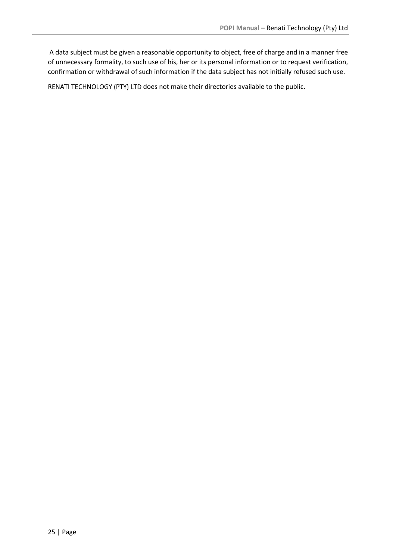A data subject must be given a reasonable opportunity to object, free of charge and in a manner free of unnecessary formality, to such use of his, her or its personal information or to request verification, confirmation or withdrawal of such information if the data subject has not initially refused such use.

RENATI TECHNOLOGY (PTY) LTD does not make their directories available to the public.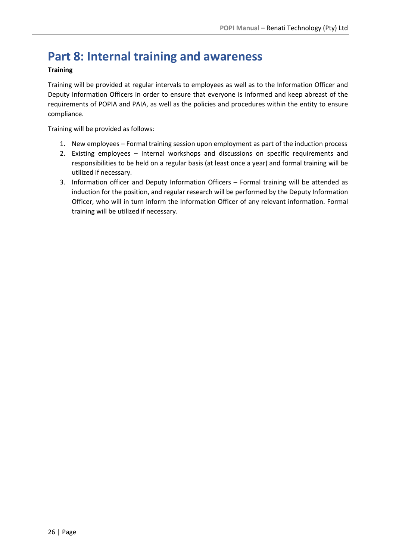# Part 8: Internal training and awareness

### **Training**

Training will be provided at regular intervals to employees as well as to the Information Officer and Deputy Information Officers in order to ensure that everyone is informed and keep abreast of the requirements of POPIA and PAIA, as well as the policies and procedures within the entity to ensure compliance.

Training will be provided as follows:

- 1. New employees Formal training session upon employment as part of the induction process
- 2. Existing employees Internal workshops and discussions on specific requirements and responsibilities to be held on a regular basis (at least once a year) and formal training will be utilized if necessary.
- 3. Information officer and Deputy Information Officers Formal training will be attended as induction for the position, and regular research will be performed by the Deputy Information Officer, who will in turn inform the Information Officer of any relevant information. Formal training will be utilized if necessary.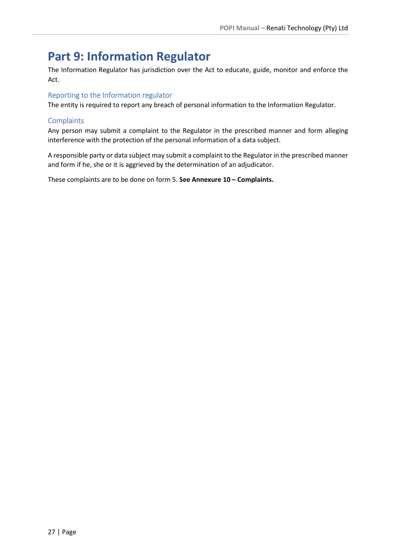# Part 9: Information Regulator

The Information Regulator has jurisdiction over the Act to educate, guide, monitor and enforce the Act.

# Reporting to the Information regulator

The entity is required to report any breach of personal information to the Information Regulator.

# **Complaints**

Any person may submit a complaint to the Regulator in the prescribed manner and form alleging interference with the protection of the personal information of a data subject.

A responsible party or data subject may submit a complaint to the Regulator in the prescribed manner and form if he, she or it is aggrieved by the determination of an adjudicator.

These complaints are to be done on form 5. See Annexure 10 – Complaints.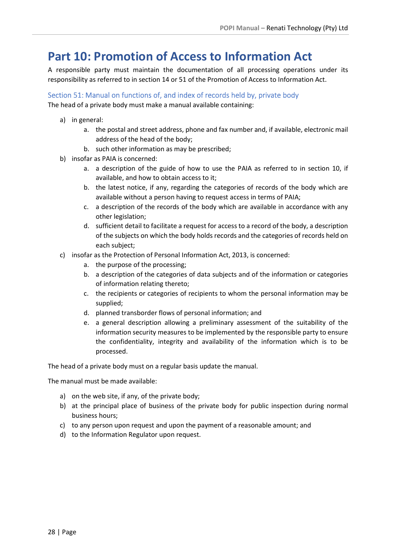# Part 10: Promotion of Access to Information Act

A responsible party must maintain the documentation of all processing operations under its responsibility as referred to in section 14 or 51 of the Promotion of Access to Information Act.

Section 51: Manual on functions of, and index of records held by, private body The head of a private body must make a manual available containing:

- a) in general:
	- a. the postal and street address, phone and fax number and, if available, electronic mail address of the head of the body;
	- b. such other information as may be prescribed;
- b) insofar as PAIA is concerned:
	- a. a description of the guide of how to use the PAIA as referred to in section 10, if available, and how to obtain access to it;
	- b. the latest notice, if any, regarding the categories of records of the body which are available without a person having to request access in terms of PAIA;
	- c. a description of the records of the body which are available in accordance with any other legislation;
	- d. sufficient detail to facilitate a request for access to a record of the body, a description of the subjects on which the body holds records and the categories of records held on each subject;
- c) insofar as the Protection of Personal Information Act, 2013, is concerned:
	- a. the purpose of the processing;
	- b. a description of the categories of data subjects and of the information or categories of information relating thereto;
	- c. the recipients or categories of recipients to whom the personal information may be supplied;
	- d. planned transborder flows of personal information; and
	- e. a general description allowing a preliminary assessment of the suitability of the information security measures to be implemented by the responsible party to ensure the confidentiality, integrity and availability of the information which is to be processed.

The head of a private body must on a regular basis update the manual.

The manual must be made available:

- a) on the web site, if any, of the private body;
- b) at the principal place of business of the private body for public inspection during normal business hours;
- c) to any person upon request and upon the payment of a reasonable amount; and
- d) to the Information Regulator upon request.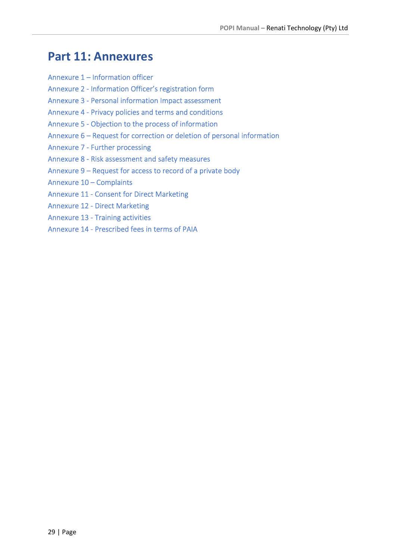# Part 11: Annexures

- Annexure 1 Information officer
- Annexure 2 Information Officer's registration form
- Annexure 3 Personal information Impact assessment
- Annexure 4 Privacy policies and terms and conditions
- Annexure 5 Objection to the process of information
- Annexure 6 Request for correction or deletion of personal information
- Annexure 7 Further processing
- Annexure 8 Risk assessment and safety measures
- Annexure 9 Request for access to record of a private body
- Annexure 10 Complaints
- Annexure 11 Consent for Direct Marketing
- Annexure 12 Direct Marketing
- Annexure 13 Training activities
- Annexure 14 Prescribed fees in terms of PAIA